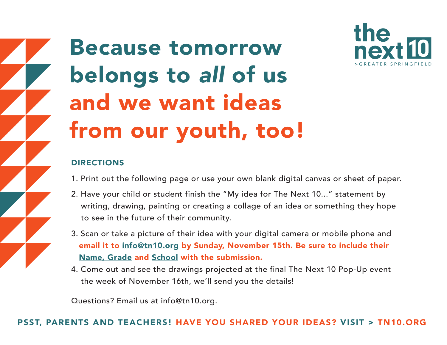

Because tomorrow belongs to *all* of us and we want ideas from our youth, too!

## DIRECTIONS

- 1. Print out the following page or use your own blank digital canvas or sheet of paper.
- 2. Have your child or student finish the "My idea for The Next 10..." statement by writing, drawing, painting or creating a collage of an idea or something they hope to see in the future of their community.
- 3. Scan or take a picture of their idea with your digital camera or mobile phone and email it to info@tn10.org by Sunday, November 15th. Be sure to include their Name, Grade and School with the submission.
- 4. Come out and see the drawings projected at the final The Next 10 Pop-Up event the week of November 16th, we'll send you the details!

Questions? Email us at info@tn10.org.